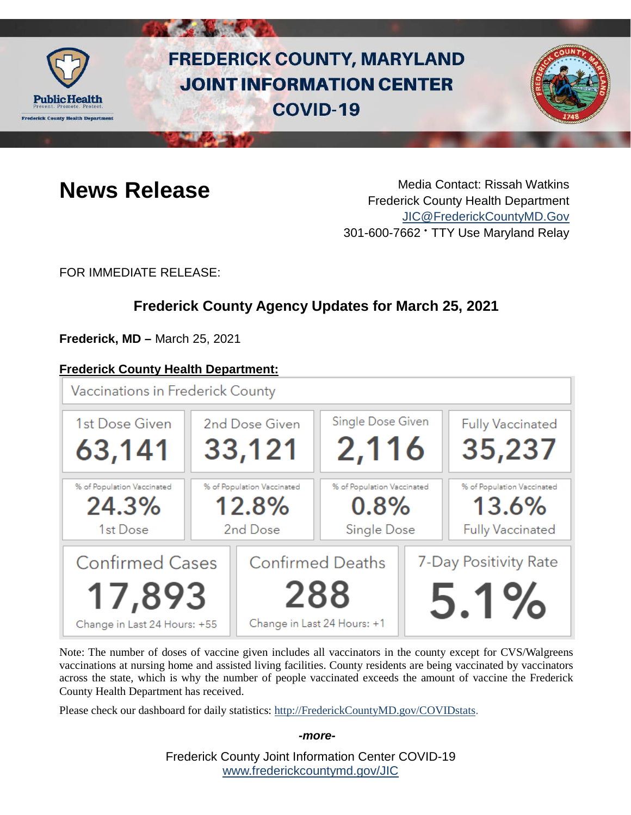

# **FREDERICK COUNTY, MARYLAND JOINT INFORMATION CENTER COVID-19**



**News Release** Media Contact: Rissah Watkins Frederick County Health Department [JIC@FrederickCountyMD.Gov](mailto:JIC@FrederickCountyMD.Gov) 301-600-7662 • TTY Use Maryland Relay

FOR IMMEDIATE RELEASE:

# **Frederick County Agency Updates for March 25, 2021**

**Frederick, MD –** March 25, 2021

### **Frederick County Health Department:**

Vaccinations in Frederick County Single Dose Given 1st Dose Given 2nd Dose Given **Fully Vaccinated** 2,116 35,237 63,141 33,121 % of Population Vaccinated % of Population Vaccinated % of Population Vaccinated % of Population Vaccinated 0.8% 24.3% 12.8% 13.6% **Single Dose** 1st Dose 2nd Dose **Fully Vaccinated Confirmed Cases Confirmed Deaths** 7-Day Positivity Rate 288  $5.1%$ 17,893 Change in Last 24 Hours: +1 Change in Last 24 Hours: +55

Note: The number of doses of vaccine given includes all vaccinators in the county except for CVS/Walgreens vaccinations at nursing home and assisted living facilities. County residents are being vaccinated by vaccinators across the state, which is why the number of people vaccinated exceeds the amount of vaccine the Frederick County Health Department has received.

Please check our dashboard for daily statistics: [http://FrederickCountyMD.gov/COVIDstats.](http://frederickcountymd.gov/COVIDstats)

*-more-*

Frederick County Joint Information Center COVID-19 [www.frederickcountymd.gov/JIC](https://frederickcountymd.gov/JIC)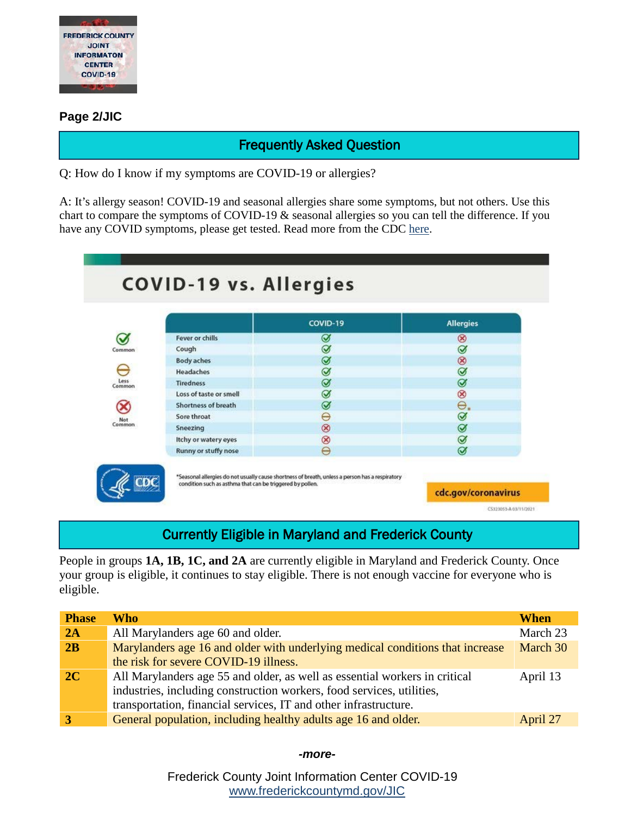

#### **Page 2/JIC**

# Frequently Asked Question

Q: How do I know if my symptoms are COVID-19 or allergies?

A: It's allergy season! COVID-19 and seasonal allergies share some symptoms, but not others. Use this chart to compare the symptoms of COVID-19 & seasonal allergies so you can tell the difference. If you have any COVID symptoms, please get tested. Read more from the CDC [here.](https://www.cdc.gov/coronavirus/2019-ncov/faq.html?fbclid=IwAR0aNcgnd-2r9At93PRZyrZeIQYbBzdmmxiHhWBSOZ3njBvo8EkeWivGUeE#People-with-Seasonal-Allergies)

|                             | COVID-19   | <b>Allergies</b> |
|-----------------------------|------------|------------------|
| Fever or chills             | ✅          | ⊗                |
| Cough                       | ☑          | $\varnothing$    |
| Body aches                  | ☑          | $^{\circledR}$   |
| Headaches                   | ⊗          | $\circledcirc$   |
| <b>Tiredness</b>            | $\alpha$   | $\circledcirc$   |
| Loss of taste or smell      | ថ          | ⊗                |
| Shortness of breath         | ☑          | Θ,               |
| Sore throat                 | Θ          | $\circledcirc$   |
| Sneezing                    | $^{\circ}$ | $\omega$         |
| Itchy or watery eyes        | $\otimes$  | $\sigma$         |
| <b>Runny or stuffy nose</b> | $\ominus$  | ∅                |

condition such as asthma that can be triggered by pollen.

cdc.gov/coronavirus

CS323053-A 03/11/2021

# Currently Eligible in Maryland and Frederick County

People in groups **1A, 1B, 1C, and 2A** are currently eligible in Maryland and Frederick County. Once your group is eligible, it continues to stay eligible. There is not enough vaccine for everyone who is eligible.

| <b>Phase</b> | <b>Who</b>                                                                                                                                                                                                              | <b>When</b> |
|--------------|-------------------------------------------------------------------------------------------------------------------------------------------------------------------------------------------------------------------------|-------------|
| 2A           | All Marylanders age 60 and older.                                                                                                                                                                                       | March 23    |
| 2B           | Marylanders age 16 and older with underlying medical conditions that increase<br>the risk for severe COVID-19 illness.                                                                                                  | March 30    |
| 2C           | All Marylanders age 55 and older, as well as essential workers in critical<br>industries, including construction workers, food services, utilities,<br>transportation, financial services, IT and other infrastructure. | April 13    |
| 3            | General population, including healthy adults age 16 and older.                                                                                                                                                          | April 27    |

*-more-*

Frederick County Joint Information Center COVID-19 [www.frederickcountymd.gov/JIC](https://frederickcountymd.gov/JIC)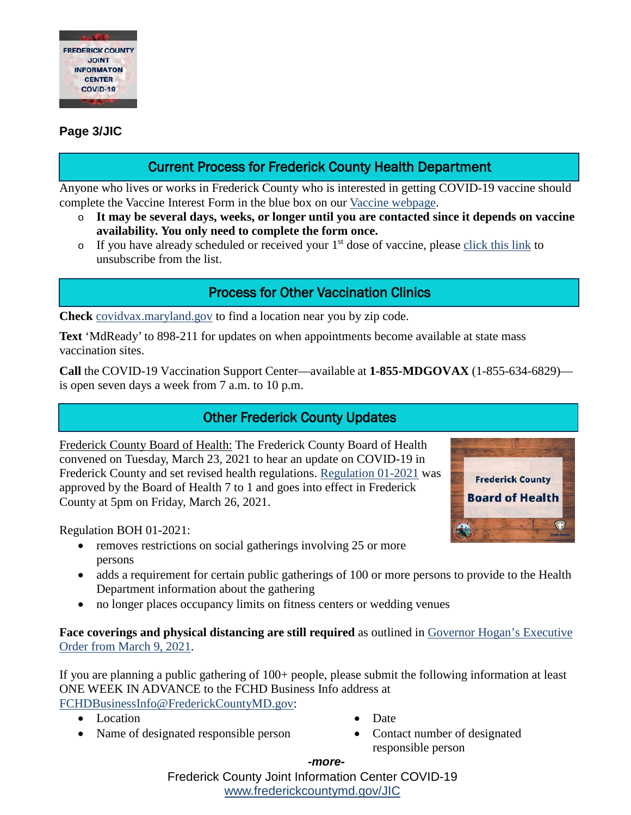

#### **Page 3/JIC**

# Current Process for Frederick County Health Department

Anyone who lives or works in Frederick County who is interested in getting COVID-19 vaccine should complete the Vaccine Interest Form in the blue box on our [Vaccine webpage.](https://health.frederickcountymd.gov/629/COVID-19-Vaccine)

- o **It may be several days, weeks, or longer until you are contacted since it depends on vaccine availability. You only need to complete the form once.**
- $\circ$  If you have already scheduled or received your 1<sup>st</sup> dose of vaccine, please [click this link](https://ww3.frederickcountymd.gov/VaccineInterest/Forms/Withdraw) to unsubscribe from the list.

# Process for Other Vaccination Clinics

**Check** [covidvax.maryland.gov](https://covidvax.maryland.gov/) to find a location near you by zip code.

**Text** 'MdReady' to 898-211 for updates on when appointments become available at state mass vaccination sites.

**Call** the COVID-19 Vaccination Support Center—available at **1-855-MDGOVAX** (1-855-634-6829) is open seven days a week from 7 a.m. to 10 p.m.

#### Other Frederick County Updates

Frederick County Board of Health: The Frederick County Board of Health convened on Tuesday, March 23, 2021 to hear an update on COVID-19 in Frederick County and set revised health regulations. [Regulation 01-2021](https://health.frederickcountymd.gov/DocumentCenter/View/6610/Board-of-Health-Regulation-01-2021-PROPOSED-v2) was approved by the Board of Health 7 to 1 and goes into effect in Frederick County at 5pm on Friday, March 26, 2021.

Regulation BOH 01-2021:

- removes restrictions on social gatherings involving 25 or more persons
- adds a requirement for certain public gatherings of 100 or more persons to provide to the Health Department information about the gathering
- no longer places occupancy limits on fitness centers or wedding venues

**Face coverings and physical distancing are still required** as outlined in [Governor Hogan's Executive](https://governor.maryland.gov/wp-content/uploads/2021/03/Gatherings-20th-AMENDED-3.9.21.pdf)  [Order from March 9, 2021.](https://governor.maryland.gov/wp-content/uploads/2021/03/Gatherings-20th-AMENDED-3.9.21.pdf)

If you are planning a public gathering of 100+ people, please submit the following information at least ONE WEEK IN ADVANCE to the FCHD Business Info address at [FCHDBusinessInfo@FrederickCountyMD.gov:](mailto:FCHDBusinessInfo@FrederickCountyMD.gov)

• Location

- Date
- Name of designated responsible person
- Contact number of designated responsible person

*-more-*

Frederick County Joint Information Center COVID-19 [www.frederickcountymd.gov/JIC](https://frederickcountymd.gov/JIC)